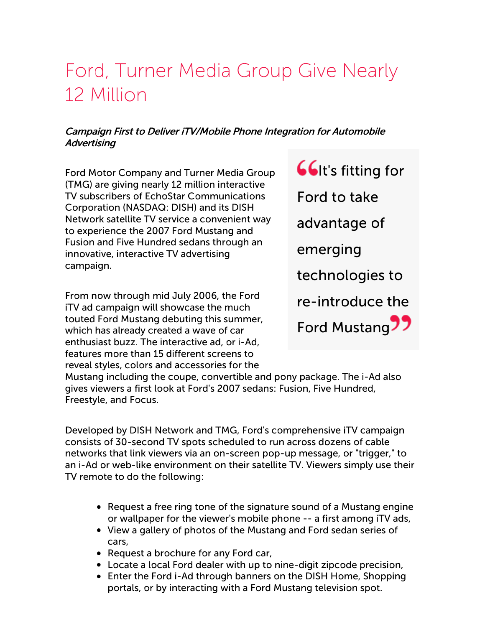# Ford, Turner Media Group Give Nearly 12 Million

### Campaign First to Deliver iTV/Mobile Phone Integration for Automobile **Advertising**

Ford Motor Company and Turner Media Group (TMG) are giving nearly 12 million interactive TV subscribers of EchoStar Communications Corporation (NASDAQ: DISH) and its DISH Network satellite TV service a convenient way to experience the 2007 Ford Mustang and Fusion and Five Hundred sedans through an innovative, interactive TV advertising campaign.

From now through mid July 2006, the Ford iTV ad campaign will showcase the much touted Ford Mustang debuting this summer, which has already created a wave of car enthusiast buzz. The interactive ad, or i-Ad, features more than 15 different screens to reveal styles, colors and accessories for the

**GG**It's fitting for Ford to take advantage of emerging technologies to re-introduce the Ford Mustang<sup>77</sup>

Mustang including the coupe, convertible and pony package. The i-Ad also gives viewers a first look at Ford's 2007 sedans: Fusion, Five Hundred, Freestyle, and Focus.

Developed by DISH Network and TMG, Ford's comprehensive iTV campaign consists of 30-second TV spots scheduled to run across dozens of cable networks that link viewers via an on-screen pop-up message, or "trigger," to an i-Ad or web-like environment on their satellite TV. Viewers simply use their TV remote to do the following:

- Request a free ring tone of the signature sound of a Mustang engine or wallpaper for the viewer's mobile phone -- a first among iTV ads,
- View a gallery of photos of the Mustang and Ford sedan series of cars,
- Request a brochure for any Ford car,
- Locate a local Ford dealer with up to nine-digit zipcode precision,
- Enter the Ford i-Ad through banners on the DISH Home, Shopping portals, or by interacting with a Ford Mustang television spot.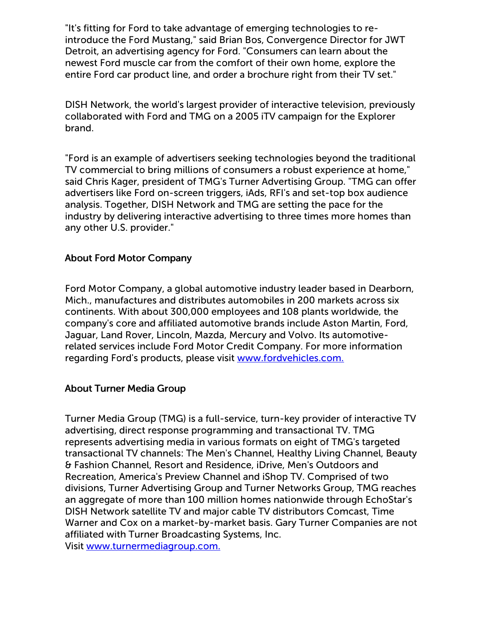"It's fitting for Ford to take advantage of emerging technologies to reintroduce the Ford Mustang," said Brian Bos, Convergence Director for JWT Detroit, an advertising agency for Ford. "Consumers can learn about the newest Ford muscle car from the comfort of their own home, explore the entire Ford car product line, and order a brochure right from their TV set."

DISH Network, the world's largest provider of interactive television, previously collaborated with Ford and TMG on a 2005 iTV campaign for the Explorer brand.

"Ford is an example of advertisers seeking technologies beyond the traditional TV commercial to bring millions of consumers a robust experience at home," said Chris Kager, president of TMG's Turner Advertising Group. "TMG can offer advertisers like Ford on-screen triggers, iAds, RFI's and set-top box audience analysis. Together, DISH Network and TMG are setting the pace for the industry by delivering interactive advertising to three times more homes than any other U.S. provider."

#### About Ford Motor Company

Ford Motor Company, a global automotive industry leader based in Dearborn, Mich., manufactures and distributes automobiles in 200 markets across six continents. With about 300,000 employees and 108 plants worldwide, the company's core and affiliated automotive brands include Aston Martin, Ford, Jaguar, Land Rover, Lincoln, Mazda, Mercury and Volvo. Its automotiverelated services include Ford Motor Credit Company. For more information regarding Ford's products, please visit [www.fordvehicles.com.](http://www.fordvehicles.com/)

#### About Turner Media Group

Turner Media Group (TMG) is a full-service, turn-key provider of interactive TV advertising, direct response programming and transactional TV. TMG represents advertising media in various formats on eight of TMG's targeted transactional TV channels: The Men's Channel, Healthy Living Channel, Beauty & Fashion Channel, Resort and Residence, iDrive, Men's Outdoors and Recreation, America's Preview Channel and iShop TV. Comprised of two divisions, Turner Advertising Group and Turner Networks Group, TMG reaches an aggregate of more than 100 million homes nationwide through EchoStar's DISH Network satellite TV and major cable TV distributors Comcast, Time Warner and Cox on a market-by-market basis. Gary Turner Companies are not affiliated with Turner Broadcasting Systems, Inc. Visit [www.turnermediagroup.com.](http://www.turnermediagroup.com/)